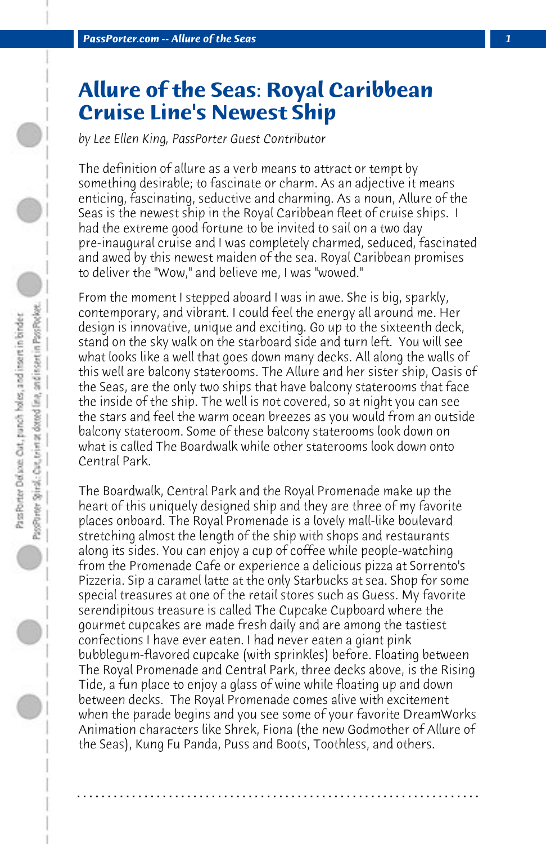## **Allure of the Seas: Royal Caribbean Cruise Line's Newest Ship**

*by Lee Ellen King, PassPorter Guest Contributor*

The definition of allure as a verb means to attract or tempt by something desirable; to fascinate or charm. As an adjective it means enticing, fascinating, seductive and charming. As a noun, Allure of the Seas is the newest ship in the Royal Caribbean fleet of cruise ships. I had the extreme good fortune to be invited to sail on a two day pre-inaugural cruise and I was completely charmed, seduced, fascinated and awed by this newest maiden of the sea. Royal Caribbean promises to deliver the "Wow," and believe me, I was "wowed."

From the moment I stepped aboard I was in awe. She is big, sparkly, contemporary, and vibrant. I could feel the energy all around me. Her design is innovative, unique and exciting. Go up to the sixteenth deck, stand on the sky walk on the starboard side and turn left. You will see what looks like a well that goes down many decks. All along the walls of this well are balcony staterooms. The Allure and her sister ship, Oasis of the Seas, are the only two ships that have balcony staterooms that face the inside of the ship. The well is not covered, so at night you can see the stars and feel the warm ocean breezes as you would from an outside balcony stateroom. Some of these balcony staterooms look down on what is called The Boardwalk while other staterooms look down onto Central Park.

The Boardwalk, Central Park and the Royal Promenade make up the heart of this uniquely designed ship and they are three of my favorite places onboard. The Royal Promenade is a lovely mall-like boulevard stretching almost the length of the ship with shops and restaurants along its sides. You can enjoy a cup of coffee while people-watching from the Promenade Cafe or experience a delicious pizza at Sorrento's Pizzeria. Sip a caramel latte at the only Starbucks at sea. Shop for some special treasures at one of the retail stores such as Guess. My favorite serendipitous treasure is called The Cupcake Cupboard where the gourmet cupcakes are made fresh daily and are among the tastiest confections I have ever eaten. I had never eaten a giant pink bubblegum-flavored cupcake (with sprinkles) before. Floating between The Royal Promenade and Central Park, three decks above, is the Rising Tide, a fun place to enjoy a glass of wine while floating up and down between decks. The Royal Promenade comes alive with excitement when the parade begins and you see some of your favorite DreamWorks Animation characters like Shrek, Fiona (the new Godmother of Allure of the Seas), Kung Fu Panda, Puss and Boots, Toothless, and others.

**. . . . . . . . . . . . . . . . . . . . . . . . . . . . . . . . . . . . . . . . . . . . . . . . . . . . . . . . . . . . . . . . . .**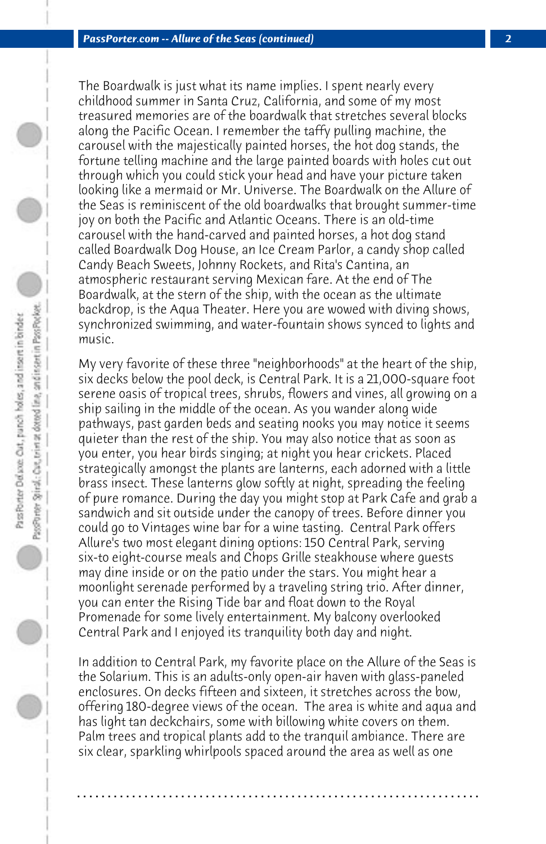The Boardwalk is just what its name implies. I spent nearly every childhood summer in Santa Cruz, California, and some of my most treasured memories are of the boardwalk that stretches several blocks along the Pacific Ocean. I remember the taffy pulling machine, the carousel with the majestically painted horses, the hot dog stands, the fortune telling machine and the large painted boards with holes cut out through which you could stick your head and have your picture taken looking like a mermaid or Mr. Universe. The Boardwalk on the Allure of the Seas is reminiscent of the old boardwalks that brought summer-time joy on both the Pacific and Atlantic Oceans. There is an old-time carousel with the hand-carved and painted horses, a hot dog stand called Boardwalk Dog House, an Ice Cream Parlor, a candy shop called Candy Beach Sweets, Johnny Rockets, and Rita's Cantina, an atmospheric restaurant serving Mexican fare. At the end of The Boardwalk, at the stern of the ship, with the ocean as the ultimate backdrop, is the Aqua Theater. Here you are wowed with diving shows, synchronized swimming, and water-fountain shows synced to lights and music.

My very favorite of these three "neighborhoods" at the heart of the ship, six decks below the pool deck, is Central Park. It is a 21,000-square foot serene oasis of tropical trees, shrubs, flowers and vines, all growing on a ship sailing in the middle of the ocean. As you wander along wide pathways, past garden beds and seating nooks you may notice it seems quieter than the rest of the ship. You may also notice that as soon as you enter, you hear birds singing; at night you hear crickets. Placed strategically amongst the plants are lanterns, each adorned with a little brass insect. These lanterns glow softly at night, spreading the feeling of pure romance. During the day you might stop at Park Cafe and grab a sandwich and sit outside under the canopy of trees. Before dinner you could go to Vintages wine bar for a wine tasting. Central Park offers Allure's two most elegant dining options: 150 Central Park, serving six-to eight-course meals and Chops Grille steakhouse where guests may dine inside or on the patio under the stars. You might hear a moonlight serenade performed by a traveling string trio. After dinner, you can enter the Rising Tide bar and float down to the Royal Promenade for some lively entertainment. My balcony overlooked Central Park and I enjoyed its tranquility both day and night.

In addition to Central Park, my favorite place on the Allure of the Seas is the Solarium. This is an adults-only open-air haven with glass-paneled enclosures. On decks fifteen and sixteen, it stretches across the bow, offering 180-degree views of the ocean. The area is white and aqua and has light tan deckchairs, some with billowing white covers on them. Palm trees and tropical plants add to the tranquil ambiance. There are six clear, sparkling whirlpools spaced around the area as well as one

**. . . . . . . . . . . . . . . . . . . . . . . . . . . . . . . . . . . . . . . . . . . . . . . . . . . . . . . . . . . . . . . . . .**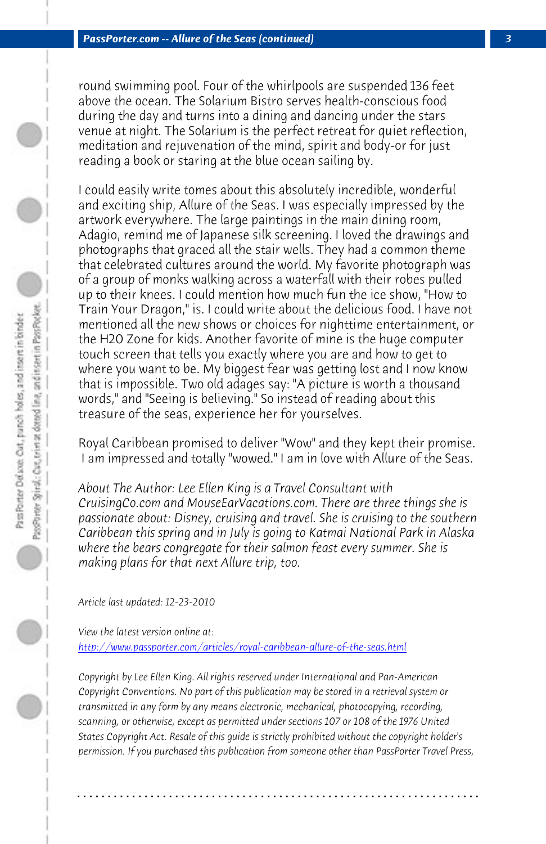*PassPorter.com -- Allure of the Seas (continued) 3*

round swimming pool. Four of the whirlpools are suspended 136 feet above the ocean. The Solarium Bistro serves health-conscious food during the day and turns into a dining and dancing under the stars venue at night. The Solarium is the perfect retreat for quiet reflection, meditation and rejuvenation of the mind, spirit and body-or for just reading a book or staring at the blue ocean sailing by.

I could easily write tomes about this absolutely incredible, wonderful and exciting ship, Allure of the Seas. I was especially impressed by the artwork everywhere. The large paintings in the main dining room, Adagio, remind me of Japanese silk screening. I loved the drawings and photographs that graced all the stair wells. They had a common theme that celebrated cultures around the world. My favorite photograph was of a group of monks walking across a waterfall with their robes pulled up to their knees. I could mention how much fun the ice show, "How to Train Your Dragon," is. I could write about the delicious food. I have not mentioned all the new shows or choices for nighttime entertainment, or the H20 Zone for kids. Another favorite of mine is the huge computer touch screen that tells you exactly where you are and how to get to where you want to be. My biggest fear was getting lost and I now know that is impossible. Two old adages say: "A picture is worth a thousand [words," and "Seeing is believing." So instead of reading abou](http://www.passporter.com/articles/royal-caribbean-allure-of-the-seas.php)t this treasure of the seas, experience her for yourselves.

Royal Caribbean promised to deliver "Wow" and they kept their promise. I am impressed and totally "wowed." I am in love with Allure of the Seas.

*About The Author: Lee Ellen King is a Travel Consultant with CruisingCo.com and MouseEarVacations.com. There are three things she is passionate about: Disney, cruising and travel. She is cruising to the southern Caribbean this spring and in July is going to Katmai National Park in Alaska where the bears congregate for their salmon feast every summer. She is making plans for that next Allure trip, too.*

*Article last updated: 12-23-2010*

*View the latest version online at: http://www.passporter.com/articles/royal-caribbean-allure-of-the-seas.html*

*Copyright by Lee Ellen King. All rights reserved under International and Pan-American Copyright Conventions. No part of this publication may be stored in a retrieval system or transmitted in any form by any means electronic, mechanical, photocopying, recording, scanning, or otherwise, except as permitted under sections 107 or 108 of the 1976 United States Copyright Act. Resale of this guide is strictly prohibited without the copyright holder's permission. If you purchased this publication from someone other than PassPorter Travel Press,*

**. . . . . . . . . . . . . . . . . . . . . . . . . . . . . . . . . . . . . . . . . . . . . . . . . . . . . . . . . . . . . . . . . .**